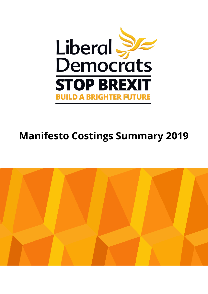

## **Manifesto Costings Summary 2019**

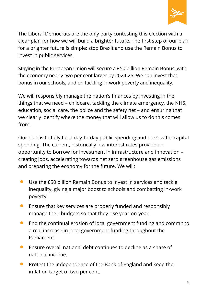

The Liberal Democrats are the only party contesting this election with a clear plan for how we will build a brighter future. The first step of our plan for a brighter future is simple: stop Brexit and use the Remain Bonus to invest in public services.

Staying in the European Union will secure a £50 billion Remain Bonus, with the economy nearly two per cent larger by 2024-25. We can invest that bonus in our schools, and on tackling in-work poverty and inequality.

We will responsibly manage the nation's finances by investing in the things that we need – childcare, tackling the climate emergency, the NHS, education, social care, the police and the safety net – and ensuring that we clearly identify where the money that will allow us to do this comes from.

Our plan is to fully fund day-to-day public spending and borrow for capital spending. The current, historically low interest rates provide an opportunity to borrow for investment in infrastructure and innovation – creating jobs, accelerating towards net zero greenhouse gas emissions and preparing the economy for the future. We will:

- Use the £50 billion Remain Bonus to invest in services and tackle inequality, giving a major boost to schools and combatting in-work poverty.
- Ensure that key services are properly funded and responsibly manage their budgets so that they rise year-on-year.
- End the continual erosion of local government funding and commit to a real increase in local government funding throughout the Parliament.
- Ensure overall national debt continues to decline as a share of national income.
- Protect the independence of the Bank of England and keep the inflation target of two per cent.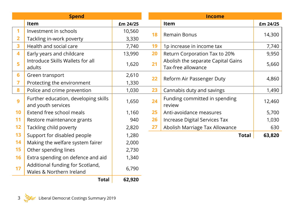| <b>Spend</b>           |                                                              |          |    | <b>Income</b>                                            |          |  |
|------------------------|--------------------------------------------------------------|----------|----|----------------------------------------------------------|----------|--|
|                        | Item                                                         | £m 24/25 |    | Item                                                     | £m 24/25 |  |
| 1                      | Investment in schools                                        | 10,560   | 18 | Remain Bonus                                             | 14,300   |  |
| 2                      | Tackling in-work poverty                                     | 3,330    |    |                                                          |          |  |
| 3                      | Health and social care                                       | 7,740    | 19 | 1p increase in income tax                                | 7,740    |  |
| 4                      | Early years and childcare                                    | 13,990   | 20 | Return Corporation Tax to 20%                            | 9,950    |  |
| 5                      | Introduce Skills Wallets for all<br>adults                   | 1,620    | 21 | Abolish the separate Capital Gains<br>Tax-free allowance | 5,660    |  |
| 6                      | Green transport                                              | 2,610    | 22 | Reform Air Passenger Duty                                | 4,860    |  |
| 7                      | Protecting the environment                                   | 1,330    |    |                                                          |          |  |
| 8                      | Police and crime prevention                                  | 1,030    | 23 | Cannabis duty and savings                                | 1,490    |  |
| 9                      | Further education, developing skills<br>and youth services   | 1,650    | 24 | Funding committed in spending<br>review                  | 12,460   |  |
| 10                     | Extend free school meals                                     | 1,160    | 25 | Anti-avoidance measures                                  | 5,700    |  |
| 11                     | Restore maintenance grants                                   | 940      | 26 | Increase Digital Services Tax                            | 1,030    |  |
| 12                     | Tackling child poverty                                       | 2,820    | 27 | Abolish Marriage Tax Allowance                           | 630      |  |
| 13                     | Support for disabled people                                  | 1,280    |    | <b>Total</b>                                             | 63,820   |  |
| 14                     | Making the welfare system fairer                             | 2,000    |    |                                                          |          |  |
| 15                     | Other spending lines                                         | 2,730    |    |                                                          |          |  |
| 16                     | Extra spending on defence and aid                            | 1,340    |    |                                                          |          |  |
| 17                     | Additional funding for Scotland,<br>Wales & Northern Ireland | 6,790    |    |                                                          |          |  |
| 62,920<br><b>Total</b> |                                                              |          |    |                                                          |          |  |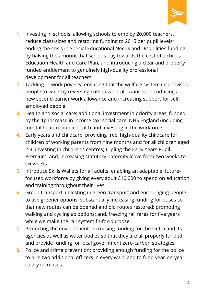

- **1.** Investing in schools: allowing schools to employ 20,000 teachers, reduce class-sizes and restoring funding to 2015 per pupil levels; ending the crisis in Special Educational Needs and Disabilities funding by halving the amount that schools pay towards the cost of a child's Education Health and Care Plan; and introducing a clear and properly funded entitlement to genuinely high-quality professional development for all teachers.
- **2.** Tackling in-work poverty: ensuring that the welfare system incentivises people to work by reversing cuts to work allowances, introducing a new second-earner work allowance and increasing support for selfemployed people.
- **3.** Health and social care: additional investment in priority areas, funded by the 1p increase in income tax: social care, NHS England (including mental health), public health and investing in the workforce.
- **4.** Early years and childcare: providing free, high-quality childcare for children of working parents from nine months and for all children aged 2-4; investing in children's centres; tripling the Early Years Pupil Premium; and, increasing statutory paternity leave from two weeks to six weeks.
- **5.** Introduce Skills Wallets for all adults: enabling an adaptable, futurefocused workforce by giving every adult £10,000 to spend on education and training throughout their lives.
- **6.** Green transport: investing in green transport and encouraging people to use greener options; substantially increasing funding for buses so that new routes can be opened and old routes restored; promoting walking and cycling as options; and, freezing rail fares for five years while we make the rail system fit-for-purpose.
- **7.** Protecting the environment: increasing funding for the Defra and its agencies as well as water bodies so that they are all properly funded and provide funding for local government zero-carbon strategies.
- **8.** Police and crime prevention: providing enough funding for the police to hire two additional officers in every ward and to fund year-on-year salary increases.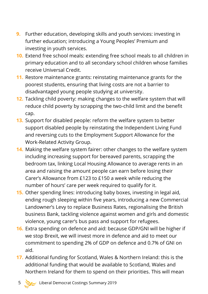- **9.** Further education, developing skills and youth services: investing in further education; introducing a Young Peoples' Premium and investing in youth services.
- **10.** Extend free school meals: extending free school meals to all children in primary education and to all secondary school children whose families receive Universal Credit.
- **11.** Restore maintenance grants: reinstating maintenance grants for the poorest students, ensuring that living costs are not a barrier to disadvantaged young people studying at university.
- **12.** Tackling child poverty: making changes to the welfare system that will reduce child poverty by scrapping the two-child limit and the benefit cap.
- **13.** Support for disabled people: reform the welfare system to better support disabled people by reinstating the Independent Living Fund and reversing cuts to the Employment Support Allowance for the Work-Related Activity Group.
- **14.** Making the welfare system fairer: other changes to the welfare system including increasing support for bereaved parents, scrapping the bedroom tax, linking Local Housing Allowance to average rents in an area and raising the amount people can earn before losing their Carer's Allowance from £123 to £150 a week while reducing the number of hours' care per week required to qualify for it.
- **15.** Other spending lines: introducing baby boxes, investing in legal aid, ending rough sleeping within five years, introducing a new Commercial Landowner's Levy to replace Business Rates, regionalising the British business Bank, tackling violence against women and girls and domestic violence, young carer's bus pass and support for refugees.
- **16.** Extra spending on defence and aid: because GDP/GNI will be higher if we stop Brexit, we will invest more in defence and aid to meet our commitment to spending 2% of GDP on defence and 0.7% of GNI on aid.
- **17.** Additional funding for Scotland, Wales & Northern Ireland: this is the additional funding that would be available to Scotland, Wales and Northern Ireland for them to spend on their priorities. This will mean
	- 5 Liberal Democrat Costings Summary 2019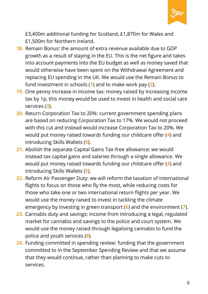

£3,400m additional funding for Scotland, £1,870m for Wales and £1,500m for Northern Ireland.

- **18.** Remain Bonus: the amount of extra revenue available due to GDP growth as a result of staying in the EU. This is the net figure and takes into account payments into the EU budget as well as money saved that would otherwise have been spent on the Withdrawal Agreement and replacing EU spending in the UK. We would use the Remain Bonus to fund investment in schools (**1**) and to make work pay (**2**).
- **19.** One penny increase in income tax: money raised by increasing income tax by 1p, this money would be used to invest in health and social care services (**3**).
- **20.** Return Corporation Tax to 20%: current government spending plans are based on reducing Corporation Tax to 17%. We would not proceed with this cut and instead would increase Corporation Tax to 20%. We would put money raised towards funding our childcare offer (**4**) and introducing Skills Wallets (**5**).
- **21.** Abolish the separate Capital Gains Tax-free allowance: we would instead tax capital gains and salaries through a single allowance. We would put money raised towards funding our childcare offer (**4**) and introducing Skills Wallets (**5**).
- **22.** Reform Air Passenger Duty: we will reform the taxation of international flights to focus on those who fly the most, while reducing costs for those who take one or two international return flights per year. We would use the money raised to invest in tackling the climate emergency by investing in green transport (**6**) and the environment (**7**).
- **23.** Cannabis duty and savings: income from introducing a legal, regulated market for cannabis and savings to the police and court system. We would use the money raised through legalising cannabis to fund the police and youth services (**8**).
- **24.** Funding committed in spending review: funding that the government committed to in the September Spending Review and that we assume that they would continue, rather than planning to make cuts to services.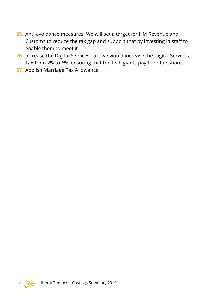- **25.** Anti-avoidance measures: We will set a target for HM Revenue and Customs to reduce the tax gap and support that by investing in staff to enable them to meet it.
- **26.** Increase the Digital Services Tax: we would increase the Digital Services Tax from 2% to 6%, ensuring that the tech giants pay their fair share.
- **27.** Abolish Marriage Tax Allowance.

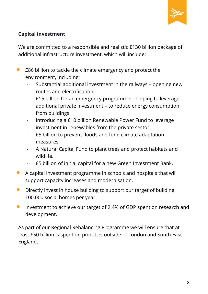

## **Capital investment**

We are committed to a responsible and realistic £130 billion package of additional infrastructure investment, which will include:

- E86 billion to tackle the climate emergency and protect the environment, including:
	- Substantial additional investment in the railways opening new routes and electrification.
	- £15 billion for an emergency programme helping to leverage additional private investment – to reduce energy consumption from buildings.
	- Introducing a £10 billion Renewable Power Fund to leverage investment in renewables from the private sector.
	- £5 billion to prevent floods and fund climate adaptation measures.
	- A Natural Capital Fund to plant trees and protect habitats and wildlife.
	- £5 billion of initial capital for a new Green Investment Bank.
- A capital investment programme in schools and hospitals that will support capacity increases and modernisation.
- Directly invest in house building to support our target of building 100,000 social homes per year.
- **•** Investment to achieve our target of 2.4% of GDP spent on research and development.

As part of our Regional Rebalancing Programme we will ensure that at least £50 billion is spent on priorities outside of London and South East England.